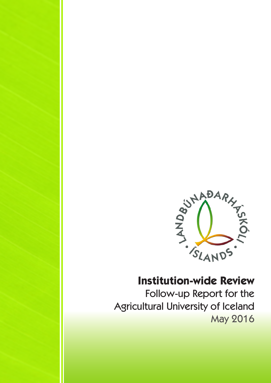

# **Institution-wide Review**

Follow-up Report for the Agricultural University of Iceland May 2016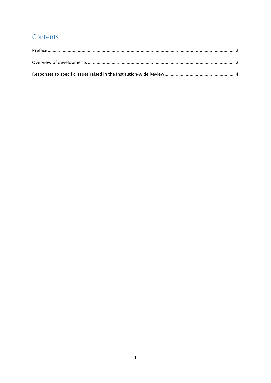# Contents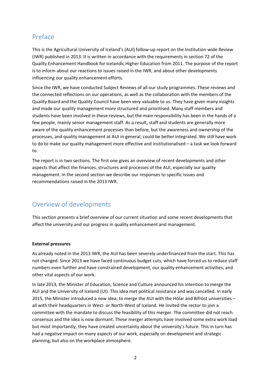# Preface

This is the Agricultural University of Iceland's (AUI) follow‐up report on the Institution‐wide Review (IWR) published in 2013. It is written in accordance with the requirements in section 72 of the Quality Enhancement Handbook for Icelandic Higher Education from 2011. The purpose of the report is to inform about our reactions to issues raised in the IWR, and about other developments influencing our quality enhancement efforts.

Since the IWR, we have conducted Subject Reviews of all our study programmes. These reviews and the connected reflections on our operations, as well as the collaboration with the members of the Quality Board and the Quality Council have been very valuable to us. They have given many insights and made our quality management more structured and prioritised. Many staff members and students have been involved in these reviews, but the main responsibility has been in the hands of a few people, mainly senior management staff. As a result, staff and students are generally more aware of the quality enhancement processes than before, but the awareness and ownership of the processes, and quality management at AUI in general, could be better integrated. We still have work to do to make our quality management more effective and institutionalised – a task we look forward to.

The report is in two sections. The first one gives an overview of recent developments and other aspects that affect the finances, structures and processes of the AUI, especially our quality management. In the second section we describe our responses to specific issues and recommendations raised in the 2013 IWR.

# Overview of developments

This section presents a brief overview of our current situation and some recent developments that affect the university and our progress in quality enhancement and management.

# **External pressures**

As already noted in the 2013 IWR, the AUI has been severely underfinanced from the start. This has not changed. Since 2013 we have faced continuous budget cuts, which have forced us to reduce staff numbers even further and have constrained development, our quality enhancement activities, and other vital aspects of our work.

In late 2013, the Minister of Education, Science and Culture announced his intention to merge the AUI and the University of Iceland (UI). This idea met political resistance and was cancelled. In early 2015, the Minister introduced a new idea; to merge the AUI with the Hólar and Bifröst universities – all with their headquarters in West‐ or North‐West of Iceland. He invited the rector to join a committee with the mandate to discuss the feasibility of this merger. The committee did not reach consensus and the idea is now dormant. These merger attempts have involved some extra work load but most importantly, they have created uncertainty about the university's future. This in turn has had a negative impact on many aspects of our work, especially on development and strategic planning, but also on the workplace atmosphere.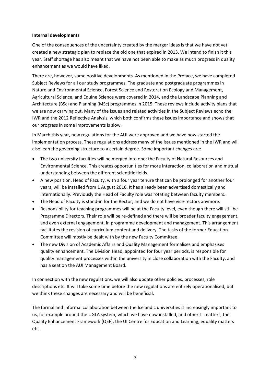#### **Internal developments**

One of the consequences of the uncertainty created by the merger ideas is that we have not yet created a new strategic plan to replace the old one that expired in 2013. We intend to finish it this year. Staff shortage has also meant that we have not been able to make as much progress in quality enhancement as we would have liked.

There are, however, some positive developments. As mentioned in the Preface, we have completed Subject Reviews for all our study programmes. The graduate and postgraduate programmes in Nature and Environmental Science, Forest Science and Restoration Ecology and Management, Agricultural Science, and Equine Science were covered in 2014, and the Landscape Planning and Architecture (BSc) and Planning (MSc) programmes in 2015. These reviews include activity plans that we are now carrying out. Many of the issues and related activities in the Subject Reviews echo the IWR and the 2012 Reflective Analysis, which both confirms these issues importance and shows that our progress in some improvements is slow.

In March this year, new regulations for the AUI were approved and we have now started the implementation process. These regulations address many of the issues mentioned in the IWR and will also lean the governing structure to a certain degree. Some important changes are:

- The two university faculties will be merged into one; the Faculty of Natural Resources and Environmental Science. This creates opportunities for more interaction, collaboration and mutual understanding between the different scientific fields.
- A new position, Head of Faculty, with a four year tenure that can be prolonged for another four years, will be installed from 1 August 2016. It has already been advertised domestically and internationally. Previously the Head of Faculty role was rotating between faculty members.
- The Head of Faculty is stand-in for the Rector, and we do not have vice-rectors anymore.
- Responsibility for teaching programmes will be at the Faculty level, even though there will still be Programme Directors. Their role will be re‐defined and there will be broader faculty engagement, and even external engagement, in programme development and management. This arrangement facilitates the revision of curriculum content and delivery. The tasks of the former Education Committee will mostly be dealt with by the new Faculty Committee.
- The new Division of Academic Affairs and Quality Management formalises and emphasises quality enhancement. The Division Head, appointed for four year periods, is responsible for quality management processes within the university in close collaboration with the Faculty, and has a seat on the AUI Management Board.

In connection with the new regulations, we will also update other policies, processes, role descriptions etc. It will take some time before the new regulations are entirely operationalised, but we think these changes are necessary and will be beneficial.

The formal and informal collaboration between the Icelandic universities is increasingly important to us, for example around the UGLA system, which we have now installed, and other IT matters, the Quality Enhancement Framework (QEF), the UI Centre for Education and Learning, equality matters etc.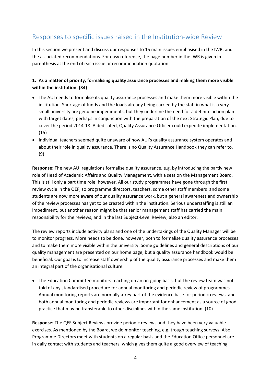# Responses to specific issues raised in the Institution‐wide Review

In this section we present and discuss our responses to 15 main issues emphasised in the IWR, and the associated recommendations. For easy reference, the page number in the IWR is given in parenthesis at the end of each issue or recommendation quotation.

# **1. As a matter of priority, formalising quality assurance processes and making them more visible within the institution. (34)**

- The AUI needs to formalise its quality assurance processes and make them more visible within the institution. Shortage of funds and the loads already being carried by the staff in what is a very small university are genuine impediments, but they underline the need for a definite action plan with target dates, perhaps in conjunction with the preparation of the next Strategic Plan, due to cover the period 2014‐18. A dedicated, Quality Assurance Officer could expedite implementation. (15)
- Individual teachers seemed quite unaware of how AUI's quality assurance system operates and about their role in quality assurance. There is no Quality Assurance Handbook they can refer to. (9)

**Response:** The new AUI regulations formalise quality assurance, e.g. by introducing the partly new role of Head of Academic Affairs and Quality Management, with a seat on the Management Board. This is still only a part time role, however. All our study programmes have gone through the first review cycle in the QEF, so programme directors, teachers, some other staff members and some students are now more aware of our quality assurance work, but a general awareness and ownership of the review processes has yet to be created within the institution. Serious understaffing is still an impediment, but another reason might be that senior management staff has carried the main responsibility for the reviews, and in the last Subject‐Level Review, also an editor.

The review reports include activity plans and one of the undertakings of the Quality Manager will be to monitor progress. More needs to be done, however, both to formalise quality assurance processes and to make them more visible within the university. Some guidelines and general descriptions of our quality management are presented on our home page, but a quality assurance handbook would be beneficial. Our goal is to increase staff ownership of the quality assurance processes and make them an integral part of the organisational culture.

 The Education Committee monitors teaching on an on‐going basis, but the review team was not told of any standardised procedure for annual monitoring and periodic review of programmes. Annual monitoring reports are normally a key part of the evidence base for periodic reviews, and both annual monitoring and periodic reviews are important for enhancement as a source of good practice that may be transferable to other disciplines within the same institution. (10)

**Response:** The QEF Subject Reviews provide periodic reviews and they have been very valuable exercises. As mentioned by the Board, we do monitor teaching, e.g. trough teaching surveys. Also, Programme Directors meet with students on a regular basis and the Education Office personnel are in daily contact with students and teachers, which gives them quite a good overview of teaching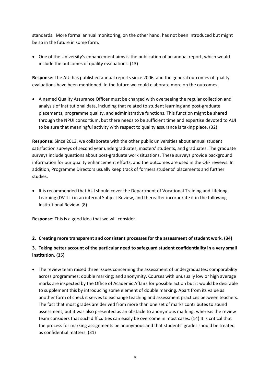standards. More formal annual monitoring, on the other hand, has not been introduced but might be so in the future in some form.

 One of the University's enhancement aims is the publication of an annual report, which would include the outcomes of quality evaluations. (13)

**Response:** The AUI has published annual reports since 2006, and the general outcomes of quality evaluations have been mentioned. In the future we could elaborate more on the outcomes.

 A named Quality Assurance Officer must be charged with overseeing the regular collection and analysis of institutional data, including that related to student learning and post‐graduate placements, programme quality, and administrative functions. This function might be shared through the NPUI consortium, but there needs to be sufficient time and expertise devoted to AUI to be sure that meaningful activity with respect to quality assurance is taking place. (32)

**Response:** Since 2013, we collaborate with the other public universities about annual student satisfaction surveys of second year undergraduates, masters' students, and graduates. The graduate surveys include questions about post‐graduate work situations. These surveys provide background information for our quality enhancement efforts, and the outcomes are used in the QEF reviews. In addition, Programme Directors usually keep track of formers students' placements and further studies.

• It is recommended that AUI should cover the Department of Vocational Training and Lifelong Learning (DVTLL) in an internal Subject Review, and thereafter incorporate it in the following Institutional Review. (8)

**Response:** This is a good idea that we will consider.

### **2. Creating more transparent and consistent processes for the assessment of student work. (34)**

# **3. Taking better account of the particular need to safeguard student confidentiality in a very small institution. (35)**

 The review team raised three issues concerning the assessment of undergraduates: comparability across programmes; double marking; and anonymity. Courses with unusually low or high average marks are inspected by the Office of Academic Affairs for possible action but it would be desirable to supplement this by introducing some element of double marking. Apart from its value as another form of check it serves to exchange teaching and assessment practices between teachers. The fact that most grades are derived from more than one set of marks contributes to sound assessment, but it was also presented as an obstacle to anonymous marking, whereas the review team considers that such difficulties can easily be overcome in most cases. (14) It is critical that the process for marking assignments be anonymous and that students' grades should be treated as confidential matters. (31)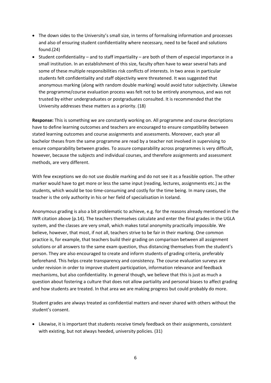- The down sides to the University's small size, in terms of formalising information and processes and also of ensuring student confidentiality where necessary, need to be faced and solutions found.(24)
- Student confidentiality and to staff impartiality are both of them of especial importance in a small institution. In an establishment of this size, faculty often have to wear several hats and some of these multiple responsibilities risk conflicts of interests. In two areas in particular students felt confidentiality and staff objectivity were threatened. It was suggested that anonymous marking (along with random double marking) would avoid tutor subjectivity. Likewise the programme/course evaluation process was felt not to be entirely anonymous, and was not trusted by either undergraduates or postgraduates consulted. It is recommended that the University addresses these matters as a priority. (18)

**Response:** This is something we are constantly working on. All programme and course descriptions have to define learning outcomes and teachers are encouraged to ensure compatibility between stated learning outcomes and course assignments and assessments. Moreover, each year all bachelor theses from the same programme are read by a teacher not involved in supervising to ensure comparability between grades. To assure comparability across programmes is very difficult, however, because the subjects and individual courses, and therefore assignments and assessment methods, are very different.

With few exceptions we do not use double marking and do not see it as a feasible option. The other marker would have to get more or less the same input (reading, lectures, assignments etc.) as the students, which would be too time‐consuming and costly for the time being. In many cases, the teacher is the only authority in his or her field of specialisation in Iceland.

Anonymous grading is also a bit problematic to achieve, e.g. for the reasons already mentioned in the IWR citation above (p.14). The teachers themselves calculate and enter the final grades in the UGLA system, and the classes are very small, which makes total anonymity practically impossible. We believe, however, that most, if not all, teachers strive to be fair in their marking. One common practice is, for example, that teachers build their grading on comparison between all assignment solutions or all answers to the same exam question, thus distancing themselves from the student's person. They are also encouraged to create and inform students of grading criteria, preferably beforehand. This helps create transparency and consistency. The course evaluation surveys are under revision in order to improve student participation, information relevance and feedback mechanisms, but also confidentiality. In general though, we believe that this is just as much a question about fostering a culture that does not allow partiality and personal biases to affect grading and how students are treated. In that area we are making progress but could probably do more.

Student grades are always treated as confidential matters and never shared with others without the student's consent.

 Likewise, it is important that students receive timely feedback on their assignments, consistent with existing, but not always heeded, university policies. (31)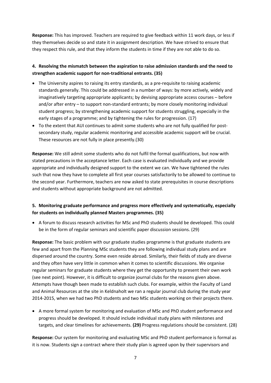**Response:** This has improved. Teachers are required to give feedback within 11 work days, or less if they themselves decide so and state it in assignment description. We have strived to ensure that they respect this rule, and that they inform the students in time if they are not able to do so.

# **4. Resolving the mismatch between the aspiration to raise admission standards and the need to strengthen academic support for non‐traditional entrants. (35)**

- The University aspires to raising its entry standards, as a pre-requisite to raising academic standards generally. This could be addressed in a number of ways: by more actively, widely and imaginatively targeting appropriate applicants; by devising appropriate access courses – before and/or after entry – to support non-standard entrants; by more closely monitoring individual student progress; by strengthening academic support for students struggling, especially in the early stages of a programme; and by tightening the rules for progression. (17)
- To the extent that AUI continues to admit some students who are not fully qualified for postsecondary study, regular academic monitoring and accessible academic support will be crucial. These resources are not fully in place presently.(30)

**Response:** We still admit some students who do not fulfil the formal qualifications, but now with stated precautions in the acceptance letter. Each case is evaluated individually and we provide appropriate and individually designed support to the extent we can. We have tightened the rules such that now they have to complete all first year courses satisfactorily to be allowed to continue to the second year. Furthermore, teachers are now asked to state prerequisites in course descriptions and students without appropriate background are not admitted.

# **5. Monitoring graduate performance and progress more effectively and systematically, especially for students on individually planned Masters programmes. (35)**

 A forum to discuss research activities for MSc and PhD students should be developed. This could be in the form of regular seminars and scientific paper discussion sessions. (29)

**Response:** The basic problem with our graduate studies programme is that graduate students are few and apart from the Planning MSc students they are following individual study plans and are dispersed around the country. Some even reside abroad. Similarly, their fields of study are diverse and they often have very little in common when it comes to scientific discussions. We organise regular seminars for graduate students where they get the opportunity to present their own work (see next point). However, it is difficult to organize journal clubs for the reasons given above. Attempts have though been made to establish such clubs. For example, within the Faculty of Land and Animal Resources at the site in Keldnaholt we ran a regular journal club during the study year 2014‐2015, when we had two PhD students and two MSc students working on their projects there.

 A more formal system for monitoring and evaluation of MSc and PhD student performance and progress should be developed. It should include individual study plans with milestones and targets, and clear timelines for achievements. **(29)** Progress regulations should be consistent. (28)

**Response:** Our system for monitoring and evaluating MSc and PhD student performance is formal as it is now. Students sign a contract where their study plan is agreed upon by their supervisors and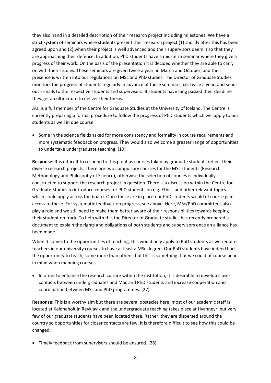they also hand in a detailed description of their research project including milestones. We have a strict system of seminars where students present their research project (1) shortly after this has been agreed upon and (2) when their project is well advanced and their supervisors deem it so that they are approaching their defence. In addition, PhD students have a mid-term seminar where they give a progress of their work. On the basis of the presentation it is decided whether they are able to carry on with their studies. These seminars are given twice a year, in March and October, and their presence is written into our regulations on MSc and PhD studies. The Director of Graduate Studies monitors the progress of students regularly in advance of these seminars, i.e. twice a year, and sends out E-mails to the respective students and supervisors. If students have long passed their deadline they get an ultimatum to deliver their thesis.

AUI is a full member of the Centre for Graduate Studies at the University of Iceland. The Centre is currently preparing a formal procedure to follow the progress of PhD students which will apply to our students as well in due course.

• Some in the science fields asked for more consistency and formality in course requirements and more systematic feedback on progress. They would also welcome a greater range of opportunities to undertake undergraduate teaching. (19)

**Response:** It is difficult to respond to this point as courses taken by graduate students reflect their diverse research projects. There are two compulsory courses for the MSc students (Research Methodology and Philosophy of Science), otherwise the selection of courses is individually constructed to support the research project in question. There is a discussion within the Centre for Graduate Studies to introduce courses for PhD students on e.g. Ethics and other relevant topics which could apply across the board. Once these are in place our PhD students would of course gain access to these. For systematic feedback on progress, see above. Here, MSc/PhD committees also play a role and we still need to make them better aware of their responsibilities towards keeping their student on track. To help with this the Director of Graduate studies has recently prepared a document to explain the rights and obligations of both students and supervisors once an alliance has been made.

When it comes to the opportunities of teaching, this would only apply to PhD students as we require teachers in our university courses to have at least a MSc degree. Our PhD students have indeed had the opportunity to teach, some more than others, but this is something that we could of course bear in mind when manning courses.

• In order to enhance the research culture within the institution, it is desirable to develop closer contacts between undergraduates and MSc and PhD students and increase cooperation and coordination between MSc and PhD programmes. (27)

**Response:** This is a worthy aim but there are several obstacles here: most of our academic staff is located at Keldnaholt in Reykjavik and the undergraduate teaching takes place at Hvanneyri but very few of our graduate students have been located there. Rather, they are dispersed around the country so opportunities for closer contacts are few. It is therefore difficult to see how this could be changed.

Timely feedback from supervisors should be ensured. (28)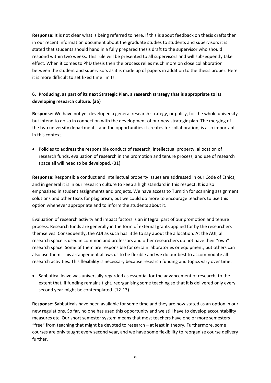**Response:** It is not clear what is being referred to here. If this is about feedback on thesis drafts then in our recent information document about the graduate studies to students and supervisors it is stated that students should hand in a fully prepared thesis draft to the supervisor who should respond within two weeks. This rule will be presented to all supervisors and will subsequently take effect. When it comes to PhD thesis then the process relies much more on close collaboration between the student and supervisors as it is made up of papers in addition to the thesis proper. Here it is more difficult to set fixed time limits.

# **6. Producing, as part of its next Strategic Plan, a research strategy that is appropriate to its developing research culture. (35)**

**Response:** We have not yet developed a general research strategy, or policy, for the whole university but intend to do so in connection with the development of our new strategic plan. The merging of the two university departments, and the opportunities it creates for collaboration, is also important in this context.

• Policies to address the responsible conduct of research, intellectual property, allocation of research funds, evaluation of research in the promotion and tenure process, and use of research space all will need to be developed. (31)

**Response:** Responsible conduct and intellectual property issues are addressed in our Code of Ethics, and in general it is in our research culture to keep a high standard in this respect. It is also emphasized in student assignments and projects. We have access to Turnitin for scanning assignment solutions and other texts for plagiarism, but we could do more to encourage teachers to use this option whenever appropriate and to inform the students about it.

Evaluation of research activity and impact factors is an integral part of our promotion and tenure process. Research funds are generally in the form of external grants applied for by the researchers themselves. Consequently, the AUI as such has little to say about the allocation. At the AUI, all research space is used in common and professors and other researchers do not have their "own" research space. Some of them are responsible for certain laboratories or equipment, but others can also use them. This arrangement allows us to be flexible and we do our best to accommodate all research activities. This flexibility is necessary because research funding and topics vary over time.

• Sabbatical leave was universally regarded as essential for the advancement of research, to the extent that, if funding remains tight, reorganising some teaching so that it is delivered only every second year might be contemplated. (12‐13)

**Response:** Sabbaticals have been available for some time and they are now stated as an option in our new regulations. So far, no one has used this opportunity and we still have to develop accountability measures etc. Our short semester system means that most teachers have one or more semesters "free" from teaching that might be devoted to research – at least in theory. Furthermore, some courses are only taught every second year, and we have some flexibility to reorganize course delivery further.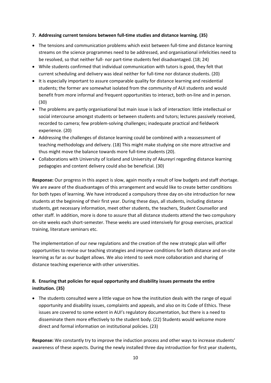#### **7. Addressing current tensions between full‐time studies and distance learning. (35)**

- The tensions and communication problems which exist between full-time and distance learning streams on the science programmes need to be addressed, and organisational infelicities need to be resolved, so that neither full‐ nor part‐time students feel disadvantaged. (18; 24)
- While students confirmed that individual communication with tutors is good, they felt that current scheduling and delivery was ideal neither for full‐time nor distance students. (20)
- It is especially important to assure comparable quality for distance learning and residential students; the former are somewhat isolated from the community of AUI students and would benefit from more informal and frequent opportunities to interact, both on‐line and in person. (30)
- The problems are partly organisational but main issue is lack of interaction: little intellectual or social intercourse amongst students or between students and tutors; lectures passively received, recorded to camera; few problem‐solving challenges; inadequate practical and fieldwork experience. (20)
- Addressing the challenges of distance learning could be combined with a reassessment of teaching methodology and delivery. (18) This might make studying on site more attractive and thus might move the balance towards more full‐time students (20).
- Collaborations with University of Iceland and University of Akureyri regarding distance learning pedagogies and content delivery could also be beneficial. (30)

**Response:** Our progress in this aspect is slow, again mostly a result of low budgets and staff shortage. We are aware of the disadvantages of this arrangement and would like to create better conditions for both types of learning. We have introduced a compulsory three day on-site introduction for new students at the beginning of their first year. During these days, all students, including distance students, get necessary information, meet other students, the teachers, Student Counsellor and other staff. In addition, more is done to assure that all distance students attend the two compulsory on‐site weeks each short‐semester. These weeks are used intensively for group exercises, practical training, literature seminars etc.

The implementation of our new regulations and the creation of the new strategic plan will offer opportunities to revise our teaching strategies and improve conditions for both distance and on‐site learning as far as our budget allows. We also intend to seek more collaboration and sharing of distance teaching experience with other universities.

# **8. Ensuring that policies for equal opportunity and disability issues permeate the entire institution. (35)**

• The students consulted were a little vague on how the institution deals with the range of equal opportunity and disability issues, complaints and appeals, and also on its Code of Ethics. These issues are covered to some extent in AUI's regulatory documentation, but there is a need to disseminate them more effectively to the student body. (22) Students would welcome more direct and formal information on institutional policies. (23)

**Response:** We constantly try to improve the induction process and other ways to increase students' awareness of these aspects. During the newly installed three day introduction for first year students,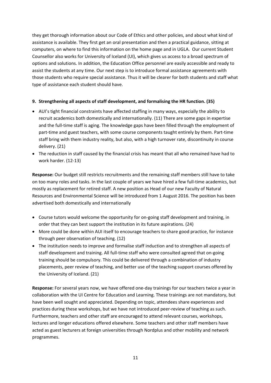they get thorough information about our Code of Ethics and other policies, and about what kind of assistance is available. They first get an oral presentation and then a practical guidance, sitting at computers, on where to find this information on the home page and in UGLA. Our current Student Counsellor also works for University of Iceland (UI), which gives us access to a broad spectrum of options and solutions. In addition, the Education Office personnel are easily accessible and ready to assist the students at any time. Our next step is to introduce formal assistance agreements with those students who require special assistance. Thus it will be clearer for both students and staff what type of assistance each student should have.

### **9. Strengthening all aspects of staff development, and formalising the HR function. (35)**

- AUI's tight financial constraints have affected staffing in many ways, especially the ability to recruit academics both domestically and internationally. (11) There are some gaps in expertise and the full-time staff is aging. The knowledge gaps have been filled through the employment of part-time and guest teachers, with some course components taught entirely by them. Part-time staff bring with them industry reality, but also, with a high turnover rate, discontinuity in course delivery. (21)
- The reduction in staff caused by the financial crisis has meant that all who remained have had to work harder. (12‐13)

**Response:** Our budget still restricts recruitments and the remaining staff members still have to take on too many roles and tasks. In the last couple of years we have hired a few full‐time academics, but mostly as replacement for retired staff. A new position as Head of our new Faculty of Natural Resources and Environmental Science will be introduced from 1 August 2016. The position has been advertised both domestically and internationally

- Course tutors would welcome the opportunity for on‐going staff development and training, in order that they can best support the institution in its future aspirations. (24)
- More could be done within AUI itself to encourage teachers to share good practice, for instance through peer observation of teaching. (12)
- The institution needs to improve and formalise staff induction and to strengthen all aspects of staff development and training. All full‐time staff who were consulted agreed that on‐going training should be compulsory. This could be delivered through a combination of industry placements, peer review of teaching, and better use of the teaching support courses offered by the University of Iceland. (21)

**Response:** For several years now, we have offered one‐day trainings for our teachers twice a year in collaboration with the UI Centre for Education and Learning. These trainings are not mandatory, but have been well sought and appreciated. Depending on topic, attendees share experiences and practices during these workshops, but we have not introduced peer-review of teaching as such. Furthermore, teachers and other staff are encouraged to attend relevant courses, workshops, lectures and longer educations offered elsewhere. Some teachers and other staff members have acted as guest lecturers at foreign universities through Nordplus and other mobility and network programmes.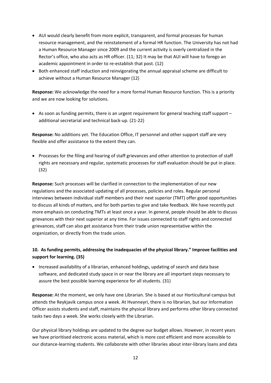- AUI would clearly benefit from more explicit, transparent, and formal processes for human resource management, and the reinstatement of a formal HR function. The University has not had a Human Resource Manager since 2009 and the current activity is overly centralized in the Rector's office, who also acts as HR officer. (11; 32) It may be that AUI will have to forego an academic appointment in order to re‐establish that post. (12)
- Both enhanced staff induction and reinvigorating the annual appraisal scheme are difficult to achieve without a Human Resource Manager (12)

**Response:** We acknowledge the need for a more formal Human Resource function. This is a priority and we are now looking for solutions.

 $\bullet$  As soon as funding permits, there is an urgent requirement for general teaching staff support – additional secretarial and technical back‐up. (21‐22)

**Response:** No additions yet. The Education Office, IT personnel and other support staff are very flexible and offer assistance to the extent they can.

• Processes for the filing and hearing of staff grievances and other attention to protection of staff rights are necessary and regular, systematic processes for staff evaluation should be put in place. (32)

**Response:** Such processes will be clarified in connection to the implementation of our new regulations and the associated updating of all processes, policies and roles. Regular personal interviews between individual staff members and their next superior (TMT) offer good opportunities to discuss all kinds of matters, and for both parties to give and take feedback. We have recently put more emphasis on conducting TMTs at least once a year. In general, people should be able to discuss grievances with their next superior at any time. For issues connected to staff rights and connected grievances, staff can also get assistance from their trade union representative within the organization, or directly from the trade union.

# **10. As funding permits, addressing the inadequacies of the physical library." Improve facilities and support for learning. (35)**

 Increased availability of a librarian, enhanced holdings, updating of search and data base software, and dedicated study space in or near the library are all important steps necessary to assure the best possible learning experience for all students. (31)

**Response:** At the moment, we only have one Librarian. She is based at our Horticultural campus but attends the Reykjavik campus once a week. At Hvanneyri, there is no librarian, but our Information Officer assists students and staff, maintains the physical library and performs other library connected tasks two days a week. She works closely with the Librarian.

Our physical library holdings are updated to the degree our budget allows. However, in recent years we have prioritised electronic access material, which is more cost efficient and more accessible to our distance‐learning students. We collaborate with other libraries about inter‐library loans and data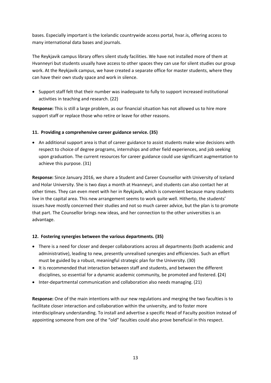bases. Especially important is the Icelandic countrywide access portal, hvar.is, offering access to many international data bases and journals.

The Reykjavik campus library offers silent study facilities. We have not installed more of them at Hvanneyri but students usually have access to other spaces they can use for silent studies our group work. At the Reykjavik campus, we have created a separate office for master students, where they can have their own study space and work in silence.

• Support staff felt that their number was inadequate to fully to support increased institutional activities in teaching and research. (22)

**Response:** This is still a large problem, as our financial situation has not allowed us to hire more support staff or replace those who retire or leave for other reasons.

### **11. Providing a comprehensive career guidance service. (35)**

 An additional support area is that of career guidance to assist students make wise decisions with respect to choice of degree programs, internships and other field experiences, and job seeking upon graduation. The current resources for career guidance could use significant augmentation to achieve this purpose. (31)

**Response:** Since January 2016, we share a Student and Career Counsellor with University of Iceland and Holar University. She is two days a month at Hvanneyri, and students can also contact her at other times. They can even meet with her in Reykjavik, which is convenient because many students live in the capital area. This new arrangement seems to work quite well. Hitherto, the students' issues have mostly concerned their studies and not so much career advice, but the plan is to promote that part. The Counsellor brings new ideas, and her connection to the other universities is an advantage.

### **12. Fostering synergies between the various departments. (35)**

- There is a need for closer and deeper collaborations across all departments (both academic and administrative), leading to new, presently unrealised synergies and efficiencies. Such an effort must be guided by a robust, meaningful strategic plan for the University. (30)
- It is recommended that interaction between staff and students, and between the different disciplines, so essential for a dynamic academic community, be promoted and fostered. **(**24)
- Inter-departmental communication and collaboration also needs managing. (21)

**Response:** One of the main intentions with our new regulations and merging the two faculties is to facilitate closer interaction and collaboration within the university, and to foster more interdisciplinary understanding. To install and advertise a specific Head of Faculty position instead of appointing someone from one of the "old" faculties could also prove beneficial in this respect.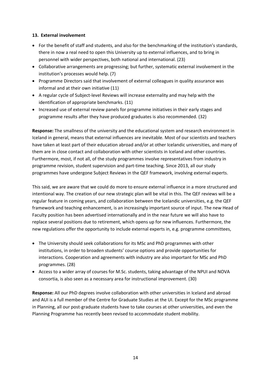#### **13. External involvement**

- For the benefit of staff and students, and also for the benchmarking of the institution's standards, there in now a real need to open this University up to external influences, and to bring in personnel with wider perspectives, both national and international. (23)
- Collaborative arrangements are progressing; but further, systematic external involvement in the institution's processes would help. (7)
- Programme Directors said that involvement of external colleagues in quality assurance was informal and at their own initiative (11)
- A regular cycle of Subject‐level Reviews will increase externality and may help with the identification of appropriate benchmarks. (11)
- Increased use of external review panels for programme initiatives in their early stages and programme results after they have produced graduates is also recommended. (32)

**Response:** The smallness of the university and the educational system and research environment in Iceland in general, means that external influences are inevitable. Most of our scientists and teachers have taken at least part of their education abroad and/or at other Icelandic universities, and many of them are in close contact and collaboration with other scientists in Iceland and other countries. Furthermore, most, if not all, of the study programmes involve representatives from industry in programme revision, student supervision and part‐time teaching. Since 2013, all our study programmes have undergone Subject Reviews in the QEF framework, involving external experts.

This said, we are aware that we could do more to ensure external influence in a more structured and intentional way. The creation of our new strategic plan will be vital in this. The QEF reviews will be a regular feature in coming years, and collaboration between the Icelandic universities, e.g. the QEF framework and teaching enhancement, is an increasingly important source of input. The new Head of Faculty position has been advertised internationally and in the near future we will also have to replace several positions due to retirement, which opens up for new influences. Furthermore, the new regulations offer the opportunity to include external experts in, e.g. programme committees,

- The University should seek collaborations for its MSc and PhD programmes with other institutions, in order to broaden students' course options and provide opportunities for interactions. Cooperation and agreements with industry are also important for MSc and PhD programmes. (28)
- Access to a wider array of courses for M.Sc. students, taking advantage of the NPUI and NOVA consortia, is also seen as a necessary area for instructional improvement. (30)

**Response:** All our PhD degrees involve collaboration with other universities in Iceland and abroad and AUI is a full member of the Centre for Graduate Studies at the UI. Except for the MSc programme in Planning, all our post‐graduate students have to take courses at other universities, and even the Planning Programme has recently been revised to accommodate student mobility.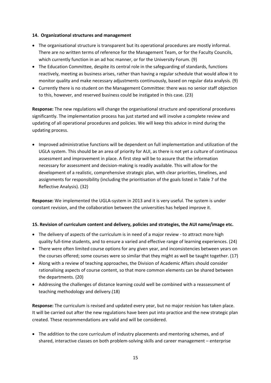#### **14. Organizational structures and management**

- The organisational structure is transparent but its operational procedures are mostly informal. There are no written terms of reference for the Management Team, or for the Faculty Councils, which currently function in an ad hoc manner, or for the University Forum. (9)
- The Education Committee, despite its central role in the safeguarding of standards, functions reactively, meeting as business arises, rather than having a regular schedule that would allow it to monitor quality and make necessary adjustments continuously, based on regular data analysis. (9)
- Currently there is no student on the Management Committee: there was no senior staff objection to this, however, and reserved business could be instigated in this case. (23)

**Response:** The new regulations will change the organisational structure and operational procedures significantly. The implementation process has just started and will involve a complete review and updating of all operational procedures and policies. We will keep this advice in mind during the updating process.

 Improved administrative functions will be dependent on full implementation and utilization of the UGLA system. This should be an area of priority for AUI, as there is not yet a culture of continuous assessment and improvement in place. A first step will be to assure that the information necessary for assessment and decision‐making is readily available. This will allow for the development of a realistic, comprehensive strategic plan, with clear priorities, timelines, and assignments for responsibility (including the prioritisation of the goals listed in Table 7 of the Reflective Analysis). (32)

**Response:** We implemented the UGLA‐system in 2013 and it is very useful. The system is under constant revision, and the collaboration between the universities has helped improve it.

### **15. Revision of curriculum content and delivery, policies and strategies, the AUI name/image etc.**

- The delivery of aspects of the curriculum is in need of a major review to attract more high quality full‐time students, and to ensure a varied and effective range of learning experiences. (24)
- There were often limited course options for any given year, and inconsistencies between years on the courses offered; some courses were so similar that they might as well be taught together. (17)
- Along with a review of teaching approaches, the Division of Academic Affairs should consider rationalising aspects of course content, so that more common elements can be shared between the departments. (20)
- Addressing the challenges of distance learning could well be combined with a reassessment of teaching methodology and delivery.(18)

**Response:** The curriculum is revised and updated every year, but no major revision has taken place. It will be carried out after the new regulations have been put into practice and the new strategic plan created. These recommendations are valid and will be considered.

• The addition to the core curriculum of industry placements and mentoring schemes, and of shared, interactive classes on both problem‐solving skills and career management – enterprise